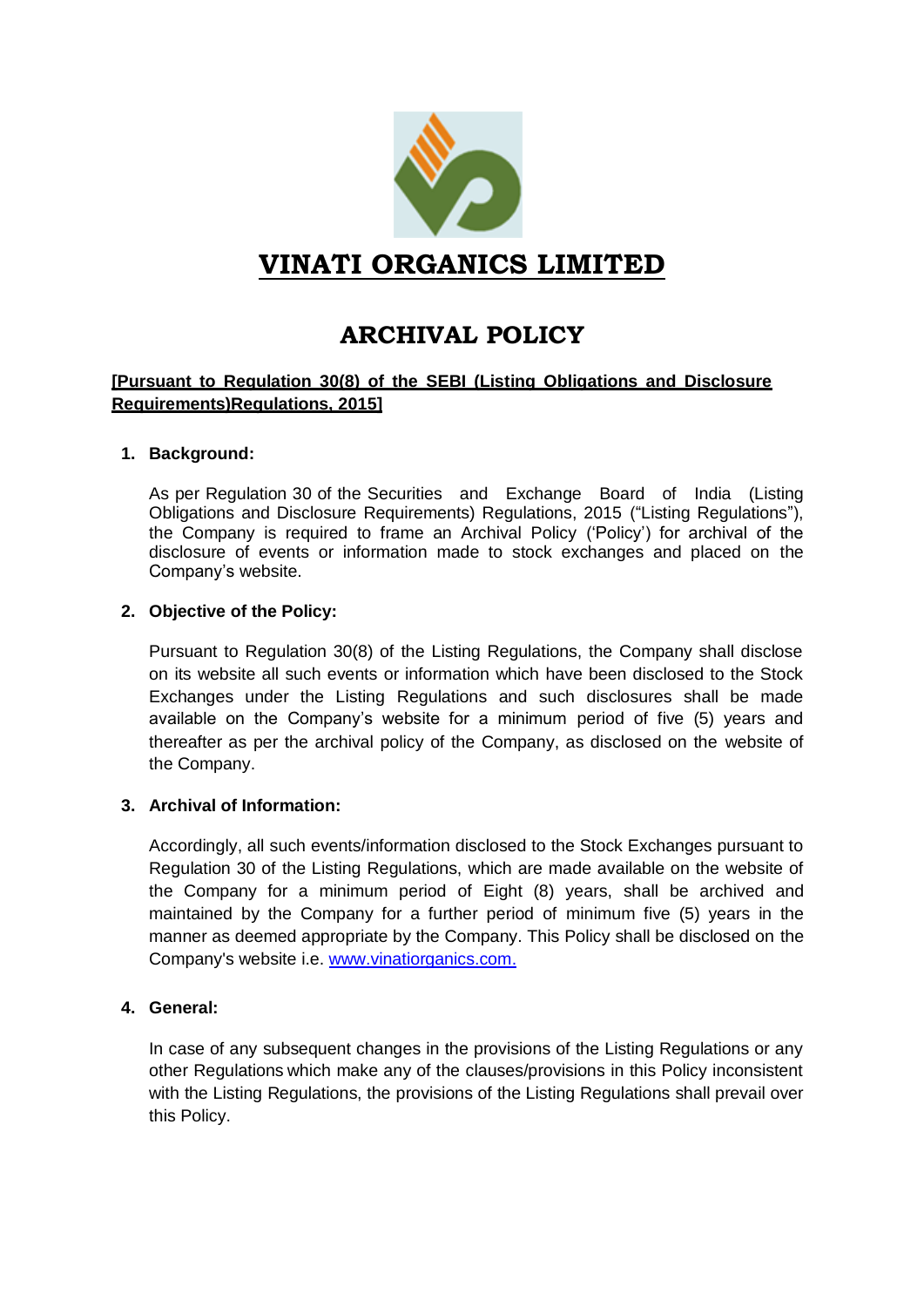

## **VINATI ORGANICS LIMITED**

# **ARCHIVAL POLICY**

#### **[Pursuant to Regulation 30(8) of the SEBI (Listing Obligations and Disclosure Requirements)Regulations, 2015]**

#### **1. Background:**

As per Regulation 30 of the Securities and Exchange Board of India (Listing Obligations and Disclosure Requirements) Regulations, 2015 ("Listing Regulations"), the Company is required to frame an Archival Policy ('Policy') for archival of the disclosure of events or information made to stock exchanges and placed on the Company's website.

#### **2. Objective of the Policy:**

Pursuant to Regulation 30(8) of the Listing Regulations, the Company shall disclose on its website all such events or information which have been disclosed to the Stock Exchanges under the Listing Regulations and such disclosures shall be made available on the Company's website for a minimum period of five (5) years and thereafter as per the archival policy of the Company, as disclosed on the website of the Company.

#### **3. Archival of Information:**

Accordingly, all such events/information disclosed to the Stock Exchanges pursuant to Regulation 30 of the Listing Regulations, which are made available on the website of the Company for a minimum period of Eight (8) years, shall be archived and maintained by the Company for a further period of minimum five (5) years in the manner as deemed appropriate by the Company. This Policy shall be disclosed on the Company's website i.e. [www.vinatiorganics.com.](http://www.vinatiorganics.com./)

#### **4. General:**

In case of any subsequent changes in the provisions of the Listing Regulations or any other Regulations which make any of the clauses/provisions in this Policy inconsistent with the Listing Regulations, the provisions of the Listing Regulations shall prevail over this Policy.